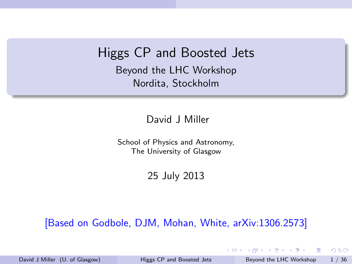### Higgs CP and Boosted Jets

Beyond the LHC Workshop Nordita, Stockholm

#### David J Miller

School of Physics and Astronomy, The University of Glasgow

25 July 2013

#### [Based on Godbole, DJM, Mohan, White, arXiv:1306.2573]

David J Miller (U. of Glasgow) [Higgs CP and Boosted Jets](#page-35-0) Beyond the LHC Workshop 1 / 36

目

<span id="page-0-0"></span> $QQ$ 

 $\left\{ \begin{array}{ccc} 1 & 0 & 0 \\ 0 & 1 & 0 \end{array} \right.$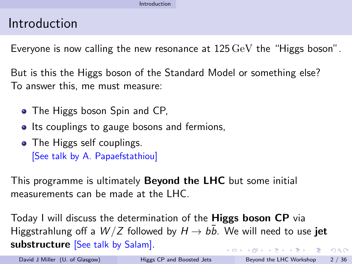### Introduction

Everyone is now calling the new resonance at 125 GeV the "Higgs boson".

But is this the Higgs boson of the Standard Model or something else? To answer this, me must measure:

- The Higgs boson Spin and CP,
- Its couplings to gauge bosons and fermions,
- The Higgs self couplings. [See talk by A. Papaefstathiou]

This programme is ultimately Beyond the LHC but some initial measurements can be made at the LHC.

Today I will discuss the determination of the Higgs boson CP via Higgstrahlung off a  $W/Z$  followed by  $H \rightarrow b\bar{b}$ . We will need to use iet substructure [See talk by Salam]. イロト イ押ト イヨト イヨト  $QQ$ - 3

<span id="page-1-0"></span>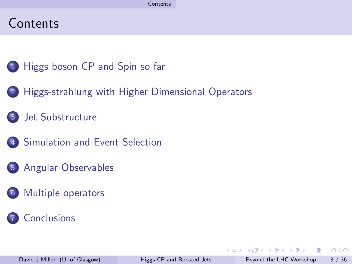### **Contents**

- 1 [Higgs boson CP and Spin so far](#page-3-0)
- 2 [Higgs-strahlung with Higher Dimensional Operators](#page-7-0)
- 3 [Jet Substructure](#page-10-0)
- 4 [Simulation and Event Selection](#page-14-0)
- 5 [Angular Observables](#page-21-0)
- 6 [Multiple operators](#page-30-0)

### **[Conclusions](#page-35-0)**

<span id="page-2-0"></span>G.  $\Omega$ 

 $\mathbf{A} \oplus \mathbf{B}$   $\mathbf{A} \oplus \mathbf{B}$   $\mathbf{A} \oplus \mathbf{B}$ 

4 D F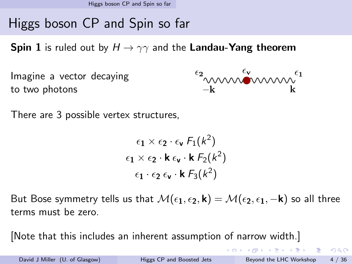[Higgs boson CP and Spin so far](#page-3-0)

# Higgs boson CP and Spin so far

**Spin 1** is ruled out by  $H \rightarrow \gamma\gamma$  and the Landau-Yang theorem

 $\begin{matrix} \epsilon_2 \\ \sim \\ -k \end{matrix}$ Imagine a vector decaying to two photons

There are 3 possible vertex structures,

$$
\epsilon_1 \times \epsilon_2 \cdot \epsilon_{\mathbf{v}} F_1(k^2)
$$
  
\n
$$
\epsilon_1 \times \epsilon_2 \cdot \mathbf{k} \epsilon_{\mathbf{v}} \cdot \mathbf{k} F_2(k^2)
$$
  
\n
$$
\epsilon_1 \cdot \epsilon_2 \epsilon_{\mathbf{v}} \cdot \mathbf{k} F_3(k^2)
$$

But Bose symmetry tells us that  $\mathcal{M}(\epsilon_1, \epsilon_2, \mathbf{k}) = \mathcal{M}(\epsilon_2, \epsilon_1, -\mathbf{k})$  so all three terms must be zero.

[Note that this includes an inherent assumption of narrow width.]

<span id="page-3-0"></span>**KOD KARD KED KED B YOUR**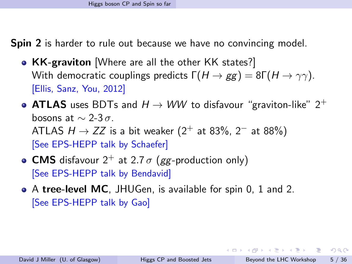Spin 2 is harder to rule out because we have no convincing model.

- KK-graviton [Where are all the other KK states?] With democratic couplings predicts  $\Gamma(H \to gg) = 8\Gamma(H \to \gamma\gamma)$ . [Ellis, Sanz, You, 2012]
- ATLAS uses BDTs and  $H \rightarrow WW$  to disfavour "graviton-like"  $2^+$ bosons at  $\sim$  2-3 $\sigma$ . ATLAS  $H \rightarrow ZZ$  is a bit weaker (2<sup>+</sup> at 83%, 2<sup>-</sup> at 88%) [See EPS-HEPP talk by Schaefer]
- CMS disfavour  $2^+$  at 2.7  $\sigma$  (gg-production only) [See EPS-HEPP talk by Bendavid]
- <span id="page-4-0"></span>A tree-level MC, JHUGen, is available for spin 0, 1 and 2. [See EPS-HEPP talk by Gao]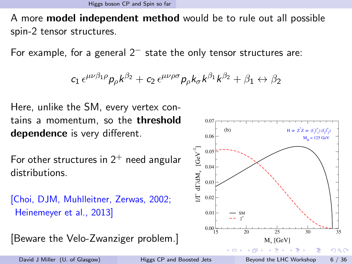A more model independent method would be to rule out all possible spin-2 tensor structures.

For example, for a general  $2<sup>-</sup>$  state the only tensor structures are:

$$
c_1 \epsilon^{\mu\nu\beta_1\rho} p_\rho k^{\beta_2} + c_2 \epsilon^{\mu\nu\rho\sigma} p_\rho k_\sigma k^{\beta_1} k^{\beta_2} + \beta_1 \leftrightarrow \beta_2
$$

Here, unlike the SM, every vertex contains a momentum, so the **threshold** dependence is very different.

For other structures in  $2^+$  need angular distributions.

```
[Choi, DJM, Muhlleitner, Zerwas, 2002;
Heinemeyer et al., 2013]
```

```
[Beware the Velo-Zwanziger problem.]
```


<span id="page-5-0"></span>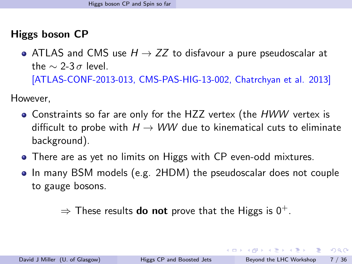### Higgs boson CP

• ATLAS and CMS use  $H \rightarrow ZZ$  to disfavour a pure pseudoscalar at the  $\sim$  2-3  $\sigma$  level.

[ATLAS-CONF-2013-013, CMS-PAS-HIG-13-002, Chatrchyan et al. 2013]

However,

- Constraints so far are only for the HZZ vertex (the HWW vertex is difficult to probe with  $H \rightarrow WW$  due to kinematical cuts to eliminate background).
- There are as yet no limits on Higgs with CP even-odd mixtures.
- In many BSM models (e.g. 2HDM) the pseudoscalar does not couple to gauge bosons.

 $\Rightarrow$  These results **do not** prove that the Higgs is  $0^+$ .

<span id="page-6-0"></span> $\Omega$ 

イロメ イ何 メイヨメ イヨメーヨー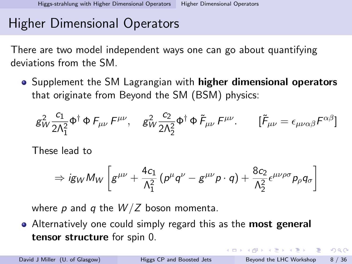# Higher Dimensional Operators

There are two model independent ways one can go about quantifying deviations from the SM.

• Supplement the SM Lagrangian with **higher dimensional operators** that originate from Beyond the SM (BSM) physics:

$$
g_W^2 \frac{c_1}{2\Lambda_1^2} \Phi^\dagger \Phi F_{\mu\nu} F^{\mu\nu}, \quad g_W^2 \frac{c_2}{2\Lambda_2^2} \Phi^\dagger \Phi \tilde{F}_{\mu\nu} F^{\mu\nu}. \qquad [\tilde{F}_{\mu\nu} = \epsilon_{\mu\nu\alpha\beta} F^{\alpha\beta}]
$$

These lead to

$$
\Rightarrow ig_{W} M_{W}\left[g^{\mu\nu} + \frac{4c_{1}}{\Lambda_{1}^{2}}\left(p^{\mu}q^{\nu} - g^{\mu\nu}p\cdot q\right) + \frac{8c_{2}}{\Lambda_{2}^{2}} \epsilon^{\mu\nu\rho\sigma} p_{\rho} q_{\sigma}\right]
$$

where p and q the  $W/Z$  boson momenta.

• Alternatively one could simply regard this as the **most general** tensor structure for spin 0.

K ロ X - 제 P X - 제 파 X - 파 파 파

<span id="page-7-0"></span> $QQ$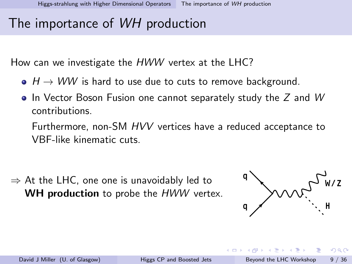## The importance of WH production

How can we investigate the HWW vertex at the LHC?

- $\bullet$   $H \rightarrow WW$  is hard to use due to cuts to remove background.
- $\bullet$  In Vector Boson Fusion one cannot separately study the Z and W contributions.

Furthermore, non-SM HVV vertices have a reduced acceptance to VBF-like kinematic cuts.

 $\Rightarrow$  At the LHC, one one is unavoidably led to **WH production** to probe the *HWW* vertex.



<span id="page-8-0"></span> $QQQ$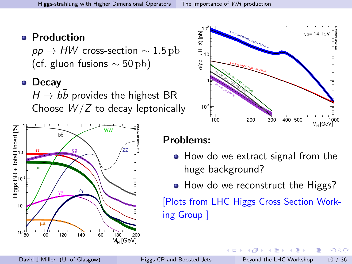#### **• Production**

 $pp \rightarrow HW$  cross-section  $\sim 1.5 \text{ pb}$ (cf. gluon fusions  $\sim$  50 pb)

#### • Decay

 $H \rightarrow bb$  provides the highest BR Choose  $W/Z$  to decay leptonically





#### Problems:

- How do we extract signal from the huge background?
- How do we reconstruct the Higgs?

[Plots from LHC Higgs Cross Section Working Group ]

4 **D** F

David J Miller (U. of Glasgow) [Higgs CP and Boosted Jets](#page-0-0) Beyond the LHC Workshop 10 / 36

<span id="page-9-0"></span>ほん マミト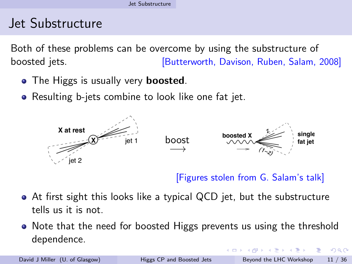# Jet Substructure

Both of these problems can be overcome by using the substructure of boosted jets. **[Butterworth, Davison, Ruben, Salam, 2008]** 

- The Higgs is usually very **boosted**.
- **•** Resulting b-jets combine to look like one fat jet.



[Figures stolen from G. Salam's talk]

- At first sight this looks like a typical QCD jet, but the substructure tells us it is not.
- Note that the need for boosted Higgs prevents us using the threshold dependence.

<span id="page-10-0"></span> $QQQ$ 

→ 何 ト → ヨ ト → ヨ ト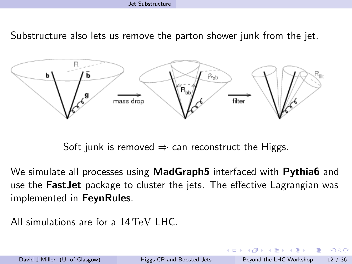Substructure also lets us remove the parton shower junk from the jet.



<span id="page-11-0"></span>Soft junk is removed  $\Rightarrow$  can reconstruct the Higgs.

We simulate all processes using **MadGraph5** interfaced with **Pythia6** and use the FastJet package to cluster the jets. The effective Lagrangian was implemented in FeynRules.

All simulations are for a 14 TeV LHC.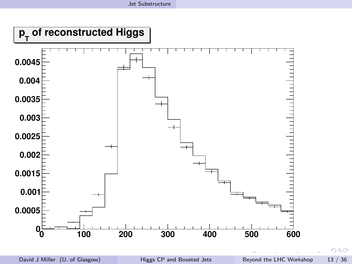<span id="page-12-0"></span>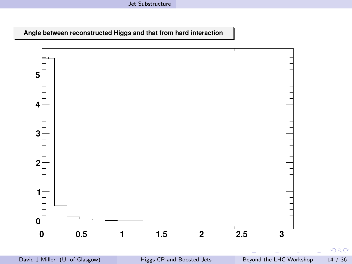**Angle between reconstructed Higgs and that from hard interaction**



David J Miller (U. of Glasgow) [Higgs CP and Boosted Jets](#page-0-0) Beyond the LHC Workshop 14 / 36

<span id="page-13-0"></span>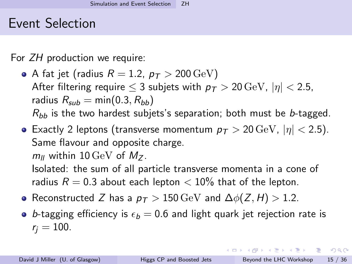### Event Selection

For ZH production we require:

- A fat jet (radius  $R = 1.2$ ,  $p_T > 200 \,\text{GeV}$ ) After filtering require  $\leq 3$  subjets with  $p_T > 20 \,\text{GeV}$ ,  $|\eta| < 2.5$ , radius  $R_{sub} = min(0.3, R_{hh})$  $R_{bb}$  is the two hardest subjets's separation; both must be b-tagged.
- **Exactly 2 leptons (transverse momentum**  $p_T > 20 \,\text{GeV}$ **,**  $|\eta| < 2.5$ **).** Same flavour and opposite charge.  $m_{\rm II}$  within 10 GeV of  $M_{\rm Z}$ .

Isolated: the sum of all particle transverse momenta in a cone of radius  $R = 0.3$  about each lepton  $< 10\%$  that of the lepton.

- Reconstructed Z has a  $p_T > 150 \,\text{GeV}$  and  $\Delta \phi(Z, H) > 1.2$ .
- <span id="page-14-0"></span>• b-tagging efficiency is  $\epsilon_b = 0.6$  and light quark jet rejection rate is  $r_i = 100$ .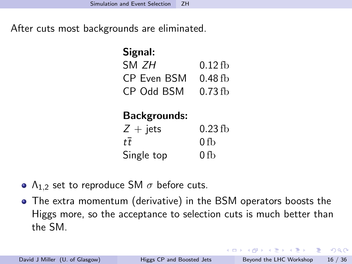After cuts most backgrounds are eliminated.

| Signal:            |           |  |  |
|--------------------|-----------|--|--|
| SM <i>7H</i>       | $0.12$ fb |  |  |
| <b>CP Even BSM</b> | $0.48$ fb |  |  |
| <b>CP Odd BSM</b>  | $0.73$ fb |  |  |

### Backgrounds:

<span id="page-15-0"></span>

| $Z + \text{jets}$ | $0.23$ fb |
|-------------------|-----------|
| $t\overline{t}$   | 0 fb      |
| Single top        | 0 fb      |

- $Λ_{1,2}$  set to reproduce SM  $σ$  before cuts.
- The extra momentum (derivative) in the BSM operators boosts the Higgs more, so the acceptance to selection cuts is much better than the SM.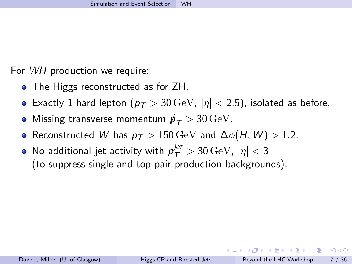<span id="page-16-0"></span>

For WH production we require:

- The Higgs reconstructed as for ZH.
- Exactly 1 hard lepton ( $p_T > 30 \,\text{GeV}$ ,  $|\eta| < 2.5$ ), isolated as before.
- Missing transverse momentum  $p_T > 30 \,\text{GeV}$ .
- Reconstructed W has  $p_T > 150 \,\text{GeV}$  and  $\Delta \phi(H, W) > 1.2$ .
- No additional jet activity with  $\rho_{\mathcal{T}}^{jet} > 30\,\mathrm{GeV}$ ,  $|\eta| < 3$ (to suppress single and top pair production backgrounds).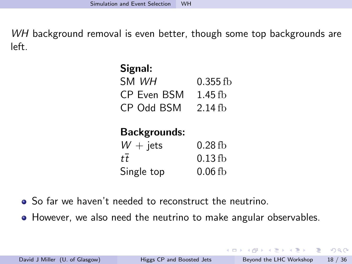WH background removal is even better, though some top backgrounds are left.

| Signal:             |           |
|---------------------|-----------|
| SM WH               | 0.355 fb  |
| <b>CP Even BSM</b>  | $1.45$ fb |
| <b>CD OYY BSM</b>   | $2.14$ fb |
| <b>Backgrounds:</b> |           |
| $W + \text{jets}$   | $0.28$ fb |

| $\mathbf{v}$ $\mathbf{v}$ $\mathbf{v}$ | 0.ZU 10   |
|----------------------------------------|-----------|
| tt                                     | $0.13$ fb |
| Single top                             | $0.06$ fb |

- So far we haven't needed to reconstruct the neutrino.
- However, we also need the neutrino to make angular observables.

<span id="page-17-0"></span>G.  $\Omega$ 

イロト イ押ト イヨト イヨト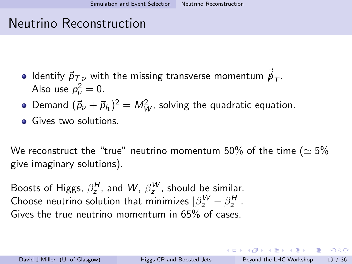## Neutrino Reconstruction

- Identify  ${\vec \rho}_{\mathcal{T}_\nu}$  with the missing transverse momentum  ${\vec \rho}_{\mathcal{T}^\perp}$ Also use  $p_\nu^2=0$ .
- Demand  $(\vec{p}_{\nu} + \vec{p}_{h})^2 = M_W^2$ , solving the quadratic equation.
- **•** Gives two solutions.

We reconstruct the "true" neutrino momentum 50% of the time ( $\simeq$  5% give imaginary solutions).

Boosts of Higgs,  $\beta_z^H$ , and  $W$ ,  $\beta_z^W$ , should be similar. Choose neutrino solution that minimizes  $|\beta_z^W-\beta_z^H|.$ Gives the true neutrino momentum in 65% of cases.

David J Miller (U. of Glasgow) [Higgs CP and Boosted Jets](#page-0-0) Beyond the LHC Workshop 19 / 36

<span id="page-18-0"></span>**KOD KARD KED KED E VAN**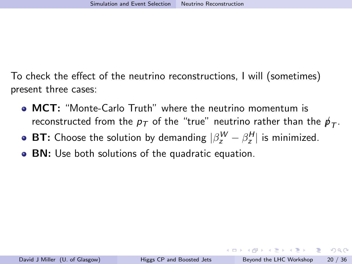To check the effect of the neutrino reconstructions, I will (sometimes) present three cases:

- MCT: "Monte-Carlo Truth" where the neutrino momentum is reconstructed from the  $p_{\mathcal{T}}$  of the "true" neutrino rather than the  ${p\llap{/}}_{\mathcal{T}}.$
- **BT:** Choose the solution by demanding  $|\beta_z^W \beta_z^H|$  is minimized.
- **BN:** Use both solutions of the quadratic equation.

<span id="page-19-0"></span> $\equiv$   $\cap$   $\alpha$ 

→ 何 ▶ → ヨ ▶ → ヨ ▶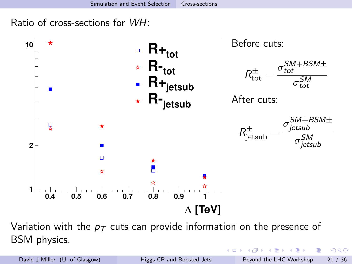Ratio of cross-sections for WH:



Variation with the  $p<sub>T</sub>$  cuts can provide information on the presence of BSM physics.

David J Miller (U. of Glasgow) [Higgs CP and Boosted Jets](#page-0-0) Beyond the LHC Workshop 21 / 36

<span id="page-20-0"></span>正々 メラメ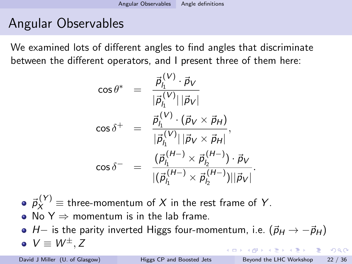# Angular Observables

We examined lots of different angles to find angles that discriminate between the different operators, and I present three of them here:

<span id="page-21-0"></span>
$$
\cos \theta^* = \frac{\vec{p}_{l_1}^{(V)} \cdot \vec{p}_V}{|\vec{p}_{l_1}^{(V)}||\vec{p}_V|}
$$

$$
\cos \delta^+ = \frac{\vec{p}_{l_1}^{(V)} \cdot (\vec{p}_V \times \vec{p}_H)}{|\vec{p}_{l_1}^{(V)}||\vec{p}_V \times \vec{p}_H|},
$$

$$
\cos \delta^- = \frac{(\vec{p}_{l_1}^{(H-)} \times \vec{p}_{l_2}^{(H-)}) \cdot \vec{p}_V}{|(\vec{p}_{l_1}^{(H-)} \times \vec{p}_{l_2}^{(H-)})||\vec{p}_V|}.
$$

- $\vec{p}_X^{(Y)} \equiv$  three-momentum of  $X$  in the rest frame of  $Y$ .
- No  $Y \Rightarrow$  momentum is in the lab frame.
- $\bullet$  H– is the parity inverted Higgs four-momentum, i.e.  $(\vec{p}_H \rightarrow -\vec{p}_H)$  $\bullet V \equiv W^{\pm}$ , Z **KORKA ERKER ADA YOUR**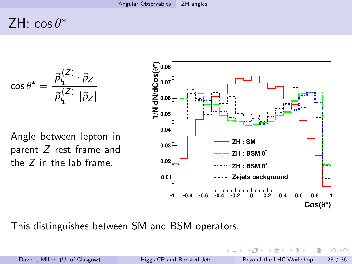# ZH:  $\cos \theta^*$

$$
\cos\theta^* = \frac{\vec{p}_{l_1}^{(Z)}\cdot\vec{p}_Z}{|\vec{p}_{l_1}^{(Z)}|\,|\vec{p}_Z|}
$$

Angle between lepton in parent Z rest frame and the Z in the lab frame.

<span id="page-22-0"></span>

This distinguishes between SM and BSM operators.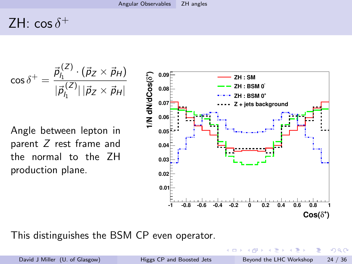# ZH:  $\cos \delta^+$

$$
\cos \delta^+ = \frac{\vec{p}_{I_1}^{(Z)} \cdot (\vec{p}_Z \times \vec{p}_H)}{|\vec{p}_{I_1}^{(Z)}||\vec{p}_Z \times \vec{p}_H|}
$$

Angle between lepton in parent Z rest frame and the normal to the ZH production plane.



This distinguishes the BSM CP even operator.

<span id="page-23-0"></span>

David J Miller (U. of Glasgow) [Higgs CP and Boosted Jets](#page-0-0) Beyond the LHC Workshop 24 / 36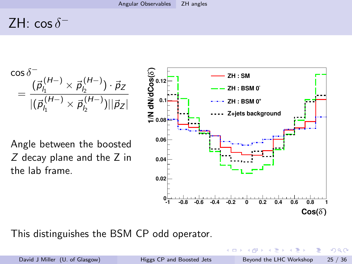# ZH:  $\cos \delta$ <sup>-</sup>



This distinguishes the BSM CP odd operator.

<span id="page-24-0"></span> $\Omega$ 

 $\rightarrow$ 

Ξ.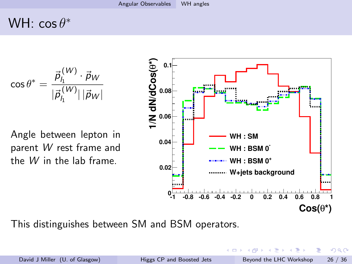# WH:  $\cos \theta^*$

$$
\cos\theta^*=\frac{\vec{\textit{p}}_h^{(W)}\cdot\vec{\textit{p}}_W}{|\vec{\textit{p}}_h^{(W)}|\,|\vec{\textit{p}}_W|}
$$

Angle between lepton in parent W rest frame and the W in the lab frame.



David J Miller (U. of Glasgow) [Higgs CP and Boosted Jets](#page-0-0) Beyond the LHC Workshop 26 / 36

<span id="page-25-0"></span>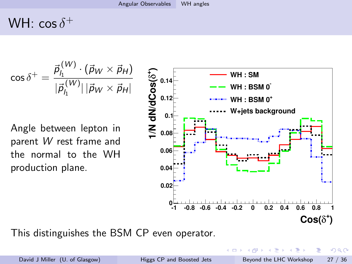# WH:  $\cos\delta^+$

$$
\cos \delta^+ = \frac{\vec{p}_{l_1}^{(W)} \cdot (\vec{p}_W \times \vec{p}_H)}{|\vec{p}_{l_1}^{(W)}| |\vec{p}_W \times \vec{p}_H|}
$$

Angle between lepton in parent W rest frame and the normal to the WH production plane.



<span id="page-26-0"></span>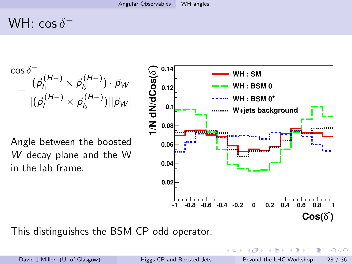# WH:  $\cos \delta^{-}$



This distinguishes the BSM CP odd operator. **)**

<span id="page-27-0"></span> $\Omega$ 

 $\,$ 

Ξ.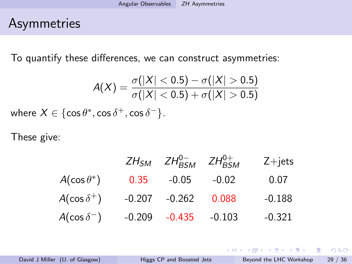## Asymmetries

To quantify these differences, we can construct asymmetries:

$$
A(X) = \frac{\sigma(|X| < 0.5) - \sigma(|X| > 0.5)}{\sigma(|X| < 0.5) + \sigma(|X| > 0.5)}
$$
\nwhere  $X \in \{\cos \theta^*, \cos \delta^+, \cos \delta^-\}$ .

These give:

|                      |        | $ZH_{SM}$ $ZH_{BSM}^{0-}$ $ZH_{BSM}^{0+}$ |         | $Z + jets$ |
|----------------------|--------|-------------------------------------------|---------|------------|
| $A(\cos\theta^*)$    | 0.35   | $-0.05$                                   | $-0.02$ | 0.07       |
| $A(\cos \delta^+)$   | -0.207 | $-0.262$                                  | 0.088   | $-0.188$   |
| $A(\cos \delta^{-})$ |        | $-0.209$ $-0.435$ $-0.103$                |         | $-0.321$   |

David J Miller (U. of Glasgow) [Higgs CP and Boosted Jets](#page-0-0) Beyond the LHC Workshop 29 / 36

<span id="page-28-0"></span>G.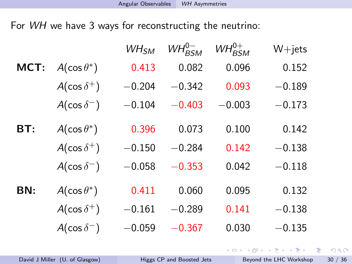For WH we have 3 ways for reconstructing the neutrino:

|      |                      | WH <sub>SM</sub> | $WH_{BSM}^{0-}$ | $WH_{BSM}^{0+}$ | $W + jets$              |
|------|----------------------|------------------|-----------------|-----------------|-------------------------|
| MCT: | $A(\cos\theta^*)$    | 0.413            | 0.082           | 0.096           | 0.152                   |
|      | $A(\cos \delta^+)$   | $-0.204$         | $-0.342$        | 0.093           | $-0.189$                |
|      | $A(\cos \delta^{-})$ | $-0.104$         | $-0.403$        | $-0.003$        | $-0.173$                |
| BT:  | $A(\cos\theta^*)$    | 0.396            | 0.073           | 0.100           | 0.142                   |
|      | $A(\cos \delta^+)$   | $-0.150$         | $-0.284$        | 0.142           | $-0.138$                |
|      | $A(\cos \delta^{-})$ | $-0.058$         | $-0.353$        | 0.042           | $-0.118$                |
| BN:  | $A(\cos\theta^*)$    | 0.411            | 0.060           | 0.095           | 0.132                   |
|      | $A(\cos \delta^+)$   | $-0.161$         | $-0.289$        | 0.141           | $-0.138$                |
|      | $A(\cos \delta^{-})$ | $-0.059$         | $-0.367$        | 0.030           | $-0.135$                |
|      |                      |                  |                 |                 | K ロ ⊁ K 御 ⊁ K 君 ⊁ K 君 ⊁ |

David J Miller (U. of Glasgow) [Higgs CP and Boosted Jets](#page-0-0) Beyond the LHC Workshop 30 / 36

<span id="page-29-0"></span> $299$ 

÷.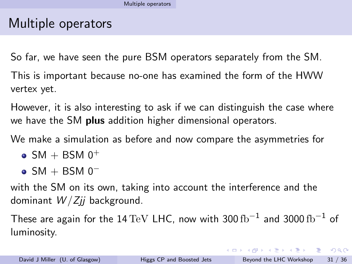## Multiple operators

So far, we have seen the pure BSM operators separately from the SM.

This is important because no-one has examined the form of the HWW vertex yet.

However, it is also interesting to ask if we can distinguish the case where we have the SM **plus** addition higher dimensional operators.

We make a simulation as before and now compare the asymmetries for

- $\bullet$  SM + BSM 0<sup>+</sup>
- <span id="page-30-0"></span> $\bullet$  SM + BSM 0<sup>-</sup>

with the SM on its own, taking into account the interference and the dominant  $W/Zii$  background.

These are again for the  $14\,{\rm TeV}$  LHC, now with 300  ${\rm fb}^{-1}$  and 3000  ${\rm fb}^{-1}$  of luminosity.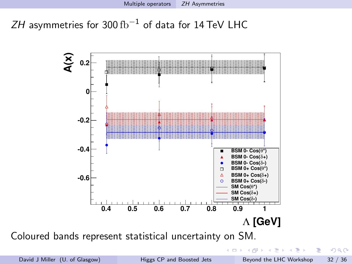$ZH$  asymmetries for 300 fb $^{-1}$  of data for 14 TeV <code>LHC</code>



Coloured bands represent statistical uncertainty on SM.

|イラト イラト

 $\leftarrow$   $\leftarrow$   $\leftarrow$ 

4 D F

<span id="page-31-0"></span> $QQ$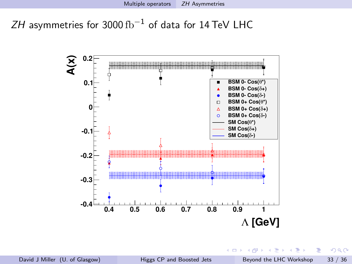$ZH$  asymmetries for 3000  $\rm fb^{-1}$  of data for 14 TeV LHC



4 D F

 $\leftarrow$   $\leftarrow$   $\leftarrow$ 

<span id="page-32-0"></span> $299$ 

э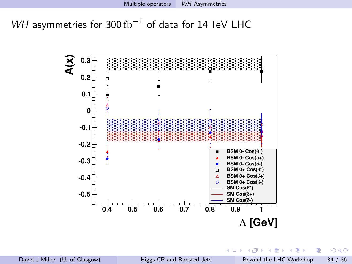WH asymmetries for 300  $\text{fb}^{-1}$  of data for 14 TeV LHC



<span id="page-33-0"></span> $299$ 

Þ

 $\left\{ \begin{array}{ccc} 1 & 0 & 0 \\ 0 & 1 & 0 \end{array} \right.$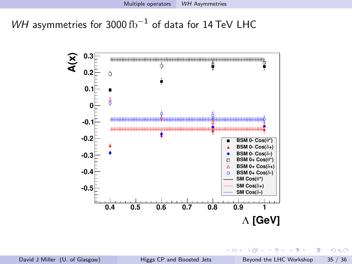WH asymmetries for 3000 fb $^{-1}$  of data for 14 TeV LHC



一本語

4 D F

 $\leftarrow$   $\leftarrow$   $\leftarrow$ 

<span id="page-34-0"></span>э